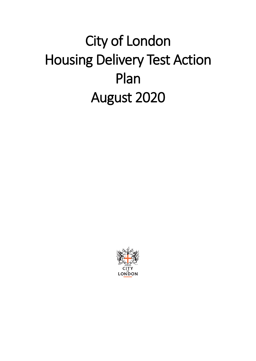# City of London Housing Delivery Test Action Plan August 2020

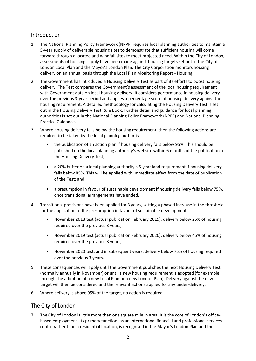### Introduction

- 1. The National Planning Policy Framework (NPPF) requires local planning authorities to maintain a 5-year supply of deliverable housing sites to demonstrate that sufficient housing will come forward through allocated and windfall sites to meet projected need. Within the City of London, assessments of housing supply have been made against housing targets set out in the City of London Local Plan and the Mayor's London Plan. The City Corporation monitors housing delivery on an annual basis through the Local Plan Monitoring Report - Housing.
- 2. The Government has introduced a Housing Delivery Test as part of its efforts to boost housing delivery. The Test compares the Government's assessment of the local housing requirement with Government data on local housing delivery. It considers performance in housing delivery over the previous 3-year period and applies a percentage score of housing delivery against the housing requirement. A detailed methodology for calculating the Housing Delivery Test is set out in the Housing Delivery Test Rule Book. Further detail and guidance for local planning authorities is set out in the National Planning Policy Framework (NPPF) and National Planning Practice Guidance.
- 3. Where housing delivery falls below the housing requirement, then the following actions are required to be taken by the local planning authority:
	- the publication of an action plan if housing delivery falls below 95%. This should be published on the local planning authority's website within 6 months of the publication of the Housing Delivery Test;
	- a 20% buffer on a local planning authority's 5-year land requirement if housing delivery falls below 85%. This will be applied with immediate effect from the date of publication of the Test; and
	- a presumption in favour of sustainable development if housing delivery falls below 75%, once transitional arrangements have ended.
- 4. Transitional provisions have been applied for 3 years, setting a phased increase in the threshold for the application of the presumption in favour of sustainable development:
	- November 2018 test (actual publication February 2019), delivery below 25% of housing required over the previous 3 years;
	- November 2019 test (actual publication February 2020), delivery below 45% of housing required over the previous 3 years;
	- November 2020 test, and in subsequent years, delivery below 75% of housing required over the previous 3 years.
- 5. These consequences will apply until the Government publishes the next Housing Delivery Test (normally annually in November) or until a new housing requirement is adopted (for example through the adoption of a new Local Plan or a new London Plan). Delivery against the new target will then be considered and the relevant actions applied for any under-delivery.
- 6. Where delivery is above 95% of the target, no action is required.

# The City of London

7. The City of London is little more than one square mile in area. It is the core of London's officebased employment. Its primary function, as an international financial and professional services centre rather than a residential location, is recognised in the Mayor's London Plan and the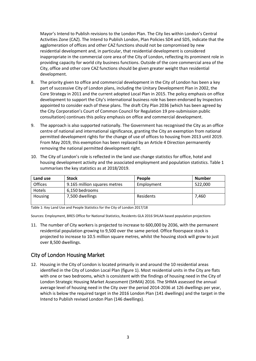Mayor's Intend to Publish revisions to the London Plan. The City lies within London's Central Activities Zone (CAZ). The Intend to Publish London, Plan Policies SD4 and SD5, indicate that the agglomeration of offices and other CAZ functions should not be compromised by new residential development and, in particular, that residential development is considered inappropriate in the commercial core area of the City of London, reflecting its prominent role in providing capacity for world city business functions. Outside of the core commercial area of the City, office and other core CAZ functions should be given greater weight than residential development.

- 8. The priority given to office and commercial development in the City of London has been a key part of successive City of London plans, including the Unitary Development Plan in 2002, the Core Strategy in 2011 and the current adopted Local Plan in 2015. The policy emphasis on office development to support the City's international business role has been endorsed by Inspectors appointed to consider each of these plans. The draft City Plan 2036 (which has been agreed by the City Corporation's Court of Common Council for Regulation 19 pre-submission public consultation) continues this policy emphasis on office and commercial development.
- 9. The approach is also supported nationally. The Government has recognised the City as an office centre of national and international significance, granting the City an exemption from national permitted development rights for the change of use of offices to housing from 2013 until 2019. From May 2019, this exemption has been replaced by an Article 4 Direction permanently removing the national permitted development right.
- 10. The City of London's role is reflected in the land use change statistics for office, hotel and housing development activity and the associated employment and population statistics. Table 1 summarises the key statistics as at 2018/2019.

| Land use      | <b>Stock</b>                 | <b>People</b> | <b>Number</b> |
|---------------|------------------------------|---------------|---------------|
| Offices       | 9.165 million squares metres | Employment    | 522,000       |
| <b>Hotels</b> | 6,150 bedrooms               |               |               |
| Housing       | 7,500 dwellings              | Residents     | 7,460         |

Table 1: Key Land Use and People Statistics for the City of London 2017/18

Sources: Employment, BRES Office for National Statistics, Residents GLA 2016 SHLAA based population projections

11. The number of City workers is projected to increase to 600,000 by 2036, with the permanent residential population growing to 9,500 over the same period. Office floorspace stock is projected to increase to 10.5 million square metres, whilst the housing stock will grow to just over 8,500 dwellings.

#### City of London Housing Market

12. Housing in the City of London is located primarily in and around the 10 residential areas identified in the City of London Local Plan (figure 1). Most residential units in the City are flats with one or two bedrooms, which is consistent with the findings of housing need in the City of London Strategic Housing Market Assessment (SHMA) 2016. The SHMA assessed the annual average level of housing need in the City over the period 2014-2036 at 126 dwellings per year, which is below the required target in the 2016 London Plan (141 dwellings) and the target in the Intend to Publish revised London Plan (146 dwellings).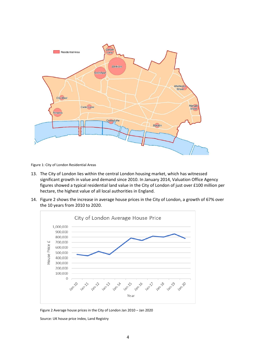

Figure 1: City of London Residential Areas

- 13. The City of London lies within the central London housing market, which has witnessed significant growth in value and demand since 2010. In January 2014, Valuation Office Agency figures showed a typical residential land value in the City of London of just over £100 million per hectare, the highest value of all local authorities in England.
- 14. Figure 2 shows the increase in average house prices in the City of London, a growth of 67% over the 10 years from 2010 to 2020.



Figure 2 Average house prices in the City of London Jan 2010 – Jan 2020

Source: UK house price index, Land Registry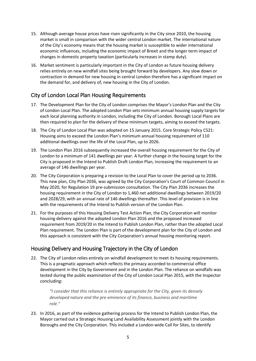- 15. Although average house prices have risen significantly in the City since 2010, the housing market is small in comparison with the wider central London market. The international nature of the City's economy means that the housing market is susceptible to wider international economic influences, including the economic impact of Brexit and the longer term impact of changes in domestic property taxation (particularly increases in stamp duty).
- 16. Market sentiment is particularly important in the City of London as future housing delivery relies entirely on new windfall sites being brought forward by developers. Any slow down or contraction in demand for new housing in central London therefore has a significant impact on the demand for, and delivery of, new housing in the City of London.

# City of London Local Plan Housing Requirements

- 17. The Development Plan for the City of London comprises the Mayor's London Plan and the City of London Local Plan. The adopted London Plan sets minimum annual housing supply targets for each local planning authority in London, including the City of London. Borough Local Plans are then required to plan for the delivery of these minimum targets, aiming to exceed the targets.
- 18. The City of London Local Plan was adopted on 15 January 2015. Core Strategic Policy CS21: Housing aims to exceed the London Plan's minimum annual housing requirement of 110 additional dwellings over the life of the Local Plan, up to 2026.
- 19. The London Plan 2016 subsequently increased the overall housing requirement for the City of London to a minimum of 141 dwellings per year. A further change in the housing target for the City is proposed in the Intend to Publish Draft London Plan, increasing the requirement to an average of 146 dwellings per year.
- 20. The City Corporation is preparing a revision to the Local Plan to cover the period up to 2036. This new plan, City Plan 2036, was agreed by the City Corporation's Court of Common Council in May 2020, for Regulation 19 pre-submission consultation. The City Plan 2036 increases the housing requirement in the City of London to 1,460 net additional dwellings between 2019/20 and 2028/29, with an annual rate of 146 dwellings thereafter. This level of provision is in line with the requirements of the Intend to Publish version of the London Plan.
- 21. For the purposes of this Housing Delivery Test Action Plan, the City Corporation will monitor housing delivery against the adopted London Plan 2016 and the proposed increased requirement from 2019/20 in the Intend to Publish London Plan, rather than the adopted Local Plan requirement. The London Plan is part of the development plan for the City of London and this approach is consistent with the City Corporation's annual housing monitoring report.

# Housing Delivery and Housing Trajectory in the City of London

22. The City of London relies entirely on windfall development to meet its housing requirements. This is a pragmatic approach which reflects the primacy accorded to commercial office development in the City by Government and in the London Plan. The reliance on windfalls was tested during the public examination of the City of London Local Plan 2015, with the Inspector concluding:

*"I consider that this reliance is entirely appropriate for the City, given its densely developed nature and the pre-eminence of its finance, business and maritime role."*

23. In 2016, as part of the evidence gathering process for the Intend to Publish London Plan, the Mayor carried out a Strategic Housing Land Availability Assessment jointly with the London Boroughs and the City Corporation. This included a London-wide Call for Sites, to identify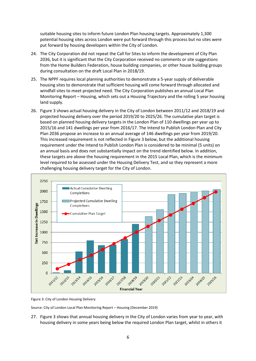suitable housing sites to inform future London Plan housing targets. Approximately 1,300 potential housing sites across London were put forward through this process but no sites were put forward by housing developers within the City of London.

- 24. The City Corporation did not repeat the Call for Sites to inform the development of City Plan 2036, but it is significant that the City Corporation received no comments or site suggestions from the Home Builders Federation, house building companies, or other house building groups during consultation on the draft Local Plan in 2018/19.
- 25. The NPPF requires local planning authorities to demonstrate a 5-year supply of deliverable housing sites to demonstrate that sufficient housing will come forward through allocated and windfall sites to meet projected need. The City Corporation publishes an annual Local Plan Monitoring Report – Housing, which sets out a Housing Trajectory and the rolling 5 year housing land supply.
- 26. Figure 3 shows actual housing delivery in the City of London between 2011/12 and 2018/19 and projected housing delivery over the period 2019/20 to 2025/26. The cumulative plan target is based on planned housing delivery targets in the London Plan of 110 dwellings per year up to 2015/16 and 141 dwellings per year from 2016/17. The Intend to Publish London Plan and City Plan 2036 propose an increase to an annual average of 146 dwellings per year from 2019/20. This increased requirement is not reflected in Figure 3 below, but the additional housing requirement under the Intend to Publish London Plan is considered to be minimal (5 units) on an annual basis and does not substantially impact on the trend identified below. In addition, these targets are above the housing requirement in the 2015 Local Plan, which is the minimum level required to be assessed under the Housing Delivery Test, and so they represent a more challenging housing delivery target for the City of London.



Figure 3: City of London Housing Delivery

Source: City of London Local Plan Monitoring Report – Housing (December 2019)

27. Figure 3 shows that annual housing delivery in the City of London varies from year to year, with housing delivery in some years being below the required London Plan target, whilst in others it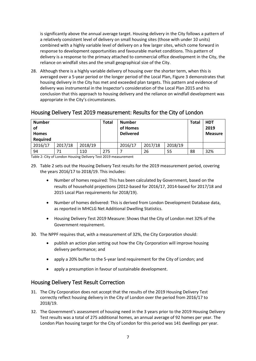is significantly above the annual average target. Housing delivery in the City follows a pattern of a relatively consistent level of delivery on small housing sites (those with under 10 units) combined with a highly variable level of delivery on a few larger sites, which come forward in response to development opportunities and favourable market conditions. This pattern of delivery is a response to the primacy attached to commercial office development in the City, the reliance on windfall sites and the small geographical size of the City.

28. Although there is a highly variable delivery of housing over the shorter term, when this is averaged over a 5-year period or the longer period of the Local Plan, Figure 3 demonstrates that housing delivery in the City has met and exceeded plan targets. This pattern and evidence of delivery was instrumental in the Inspector's consideration of the Local Plan 2015 and his conclusion that this approach to housing delivery and the reliance on windfall development was appropriate in the City's circumstances.

#### Housing Delivery Test 2019 measurement: Results for the City of London

| <b>Number</b><br>of<br><b>Homes</b><br><b>Required</b> |         |         | <b>Total</b> | <b>Number</b><br>of Homes<br><b>Delivered</b> |                    |    | <b>Total</b> | <b>HDT</b><br>2019<br><b>Measure</b> |
|--------------------------------------------------------|---------|---------|--------------|-----------------------------------------------|--------------------|----|--------------|--------------------------------------|
| 2016/17                                                | 2017/18 | 2018/19 |              | 2016/17                                       | 2018/19<br>2017/18 |    |              |                                      |
| 94<br>71<br>110                                        |         |         | 275          |                                               | 26                 | 55 | 88           | 32%                                  |

Table 2: City of London Housing Delivery Test 2019 measurement

- 29. Table 2 sets out the Housing Delivery Test results for the 2019 measurement period, covering the years 2016/17 to 2018/19. This includes:
	- Number of homes required: This has been calculated by Government, based on the results of household projections (2012-based for 2016/17, 2014-based for 2017/18 and 2015 Local Plan requirements for 2018/19).
	- Number of homes delivered: This is derived from London Development Database data, as reported in MHCLG Net Additional Dwelling Statistics.
	- Housing Delivery Test 2019 Measure: Shows that the City of London met 32% of the Government requirement.
- 30. The NPPF requires that, with a measurement of 32%, the City Corporation should:
	- publish an action plan setting out how the City Corporation will improve housing delivery performance; and
	- apply a 20% buffer to the 5-year land requirement for the City of London; and
	- apply a presumption in favour of sustainable development.

#### Housing Delivery Test Result Correction

- 31. The City Corporation does not accept that the results of the 2019 Housing Delivery Test correctly reflect housing delivery in the City of London over the period from 2016/17 to 2018/19.
- 32. The Government's assessment of housing need in the 3 years prior to the 2019 Housing Delivery Test results was a total of 275 additional homes, an annual average of 92 homes per year. The London Plan housing target for the City of London for this period was 141 dwellings per year.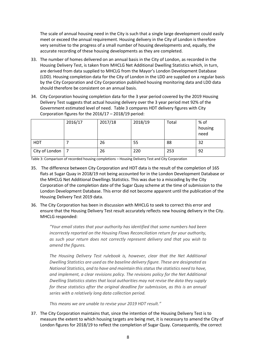The scale of annual housing need in the City is such that a single large development could easily meet or exceed the annual requirement. Housing delivery in the City of London is therefore very sensitive to the progress of a small number of housing developments and, equally, the accurate recording of these housing developments as they are completed.

- 33. The number of homes delivered on an annual basis in the City of London, as recorded in the Housing Delivery Test, is taken from MHCLG Net Additional Dwelling Statistics which, in turn, are derived from data supplied to MHCLG from the Mayor's London Development Database (LDD). Housing completion data for the City of London in the LDD are supplied on a regular basis by the City Corporation and City Corporation published housing monitoring data and LDD data should therefore be consistent on an annual basis.
- 34. City Corporation housing completion data for the 3 year period covered by the 2019 Housing Delivery Test suggests that actual housing delivery over the 3 year period met 92% of the Government estimated level of need. Table 3 compares HDT delivery figures with City Corporation figures for the 2016/17 – 2018/19 period:

|                | 2016/17 | 2017/18 | 2018/19 | Total | % of<br>housing<br>need |
|----------------|---------|---------|---------|-------|-------------------------|
| <b>HDT</b>     |         | 26      | 55      | 88    | 32                      |
| City of London |         | 26      | 220     | 253   | 92                      |

Table 3: Comparison of recorded housing completions – Housing Delivery Test and City Corporation

- 35. The difference between City Corporation and HDT data is the result of the completion of 165 flats at Sugar Quay in 2018/19 not being accounted for in the London Development Database or the MHCLG Net Additional Dwellings Statistics. This was due to a miscoding by the City Corporation of the completion date of the Sugar Quay scheme at the time of submission to the London Development Database. This error did not become apparent until the publication of the Housing Delivery Test 2019 data.
- 36. The City Corporation has been in discussion with MHCLG to seek to correct this error and ensure that the Housing Delivery Test result accurately reflects new housing delivery in the City. MHCLG responded:

*"Your email states that your authority has identified that some numbers had been incorrectly reported on the Housing Flows Reconciliation return for your authority, as such your return does not correctly represent delivery and that you wish to amend the figures.* 

*The Housing Delivery Test rulebook is, however, clear that the Net Additional Dwelling Statistics are used as the baseline delivery figure. These are designated as National Statistics, and to have and maintain this status the statistics need to have, and implement, a clear revisions policy. The revisions policy for the Net Additional Dwelling Statistics states that local authorities may not revise the data they supply for these statistics after the original deadline for submission, as this is an annual series with a relatively long data collection period.*

*This means we are unable to revise your 2019 HDT result."*

37. The City Corporation maintains that, since the intention of the Housing Delivery Test is to measure the extent to which housing targets are being met, it is necessary to amend the City of London figures for 2018/19 to reflect the completion of Sugar Quay. Consequently, the correct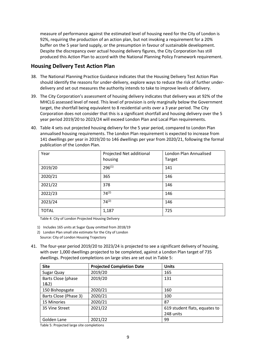measure of performance against the estimated level of housing need for the City of London is 92%, requiring the production of an action plan, but not invoking a requirement for a 20% buffer on the 5 year land supply, or the presumption in favour of sustainable development. Despite the discrepancy over actual housing delivery figures, the City Corporation has still produced this Action Plan to accord with the National Planning Policy Framework requirement.

#### **Housing Delivery Test Action Plan**

- 38. The National Planning Practice Guidance indicates that the Housing Delivery Test Action Plan should identify the reasons for under-delivery, explore ways to reduce the risk of further underdelivery and set out measures the authority intends to take to improve levels of delivery.
- 39. The City Corporation's assessment of housing delivery indicates that delivery was at 92% of the MHCLG assessed level of need. This level of provision is only marginally below the Government target, the shortfall being equivalent to 8 residential units over a 3 year period. The City Corporation does not consider that this is a significant shortfall and housing delivery over the 5 year period 2019/20 to 2023/24 will exceed London Plan and Local Plan requirements.
- 40. Table 4 sets out projected housing delivery for the 5 year period, compared to London Plan annualised housing requirements. The London Plan requirement is expected to increase from 141 dwellings per year in 2019/20 to 146 dwellings per year from 2020/21, following the formal publication of the London Plan.

| Year         | Projected Net additional | London Plan Annualised |
|--------------|--------------------------|------------------------|
|              | housing                  | Target                 |
| 2019/20      | $296^{(1)}$              | 141                    |
| 2020/21      | 365                      | 146                    |
| 2021/22      | 378                      | 146                    |
| 2022/23      | $74^{(2)}$               | 146                    |
| 2023/24      | $74^{(2)}$               | 146                    |
| <b>TOTAL</b> | 1,187                    | 725                    |

Table 4: City of London Projected Housing Delivery

1) Includes 165 units at Sugar Quay omitted from 2018/19

2) London Plan small site estimate for the City of London Source: City of London Housing Trajectory

41. The four-year period 2019/20 to 2023/24 is projected to see a significant delivery of housing, with over 1,000 dwellings projected to be completed, against a London Plan target of 735 dwellings. Projected completions on large sites are set out in Table 5:

| <b>Site</b>           | <b>Projected Completion Date</b> | <b>Units</b>                  |  |  |  |  |  |
|-----------------------|----------------------------------|-------------------------------|--|--|--|--|--|
| Sugar Quay            | 2019/20                          | 165                           |  |  |  |  |  |
| Barts Close (phase    | 2019/20                          | 131                           |  |  |  |  |  |
| 1&2)                  |                                  |                               |  |  |  |  |  |
| 150 Bishopsgate       | 2020/21                          | 160                           |  |  |  |  |  |
| Barts Close (Phase 3) | 2020/21                          | 100                           |  |  |  |  |  |
| 15 Minories           | 2020/21                          | 87                            |  |  |  |  |  |
| 35 Vine Street        | 2021/22                          | 619 student flats, equates to |  |  |  |  |  |
|                       |                                  | 248 units                     |  |  |  |  |  |
| Golden Lane           | 2021/22                          | 99                            |  |  |  |  |  |

Table 5: Projected large site completions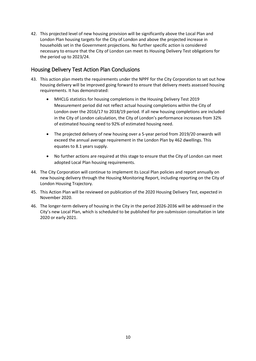42. This projected level of new housing provision will be significantly above the Local Plan and London Plan housing targets for the City of London and above the projected increase in households set in the Government projections. No further specific action is considered necessary to ensure that the City of London can meet its Housing Delivery Test obligations for the period up to 2023/24.

# Housing Delivery Test Action Plan Conclusions

- 43. This action plan meets the requirements under the NPPF for the City Corporation to set out how housing delivery will be improved going forward to ensure that delivery meets assessed housing requirements. It has demonstrated:
	- MHCLG statistics for housing completions in the Housing Delivery Test 2019 Measurement period did not reflect actual housing completions within the City of London over the 2016/17 to 2018/19 period. If all new housing completions are included in the City of London calculation, the City of London's performance increases from 32% of estimated housing need to 92% of estimated housing need.
	- The projected delivery of new housing over a 5-year period from 2019/20 onwards will exceed the annual average requirement in the London Plan by 462 dwellings. This equates to 8.1 years supply.
	- No further actions are required at this stage to ensure that the City of London can meet adopted Local Plan housing requirements.
- 44. The City Corporation will continue to implement its Local Plan policies and report annually on new housing delivery through the Housing Monitoring Report, including reporting on the City of London Housing Trajectory.
- 45. This Action Plan will be reviewed on publication of the 2020 Housing Delivery Test, expected in November 2020.
- 46. The longer-term delivery of housing in the City in the period 2026-2036 will be addressed in the City's new Local Plan, which is scheduled to be published for pre-submission consultation in late 2020 or early 2021.